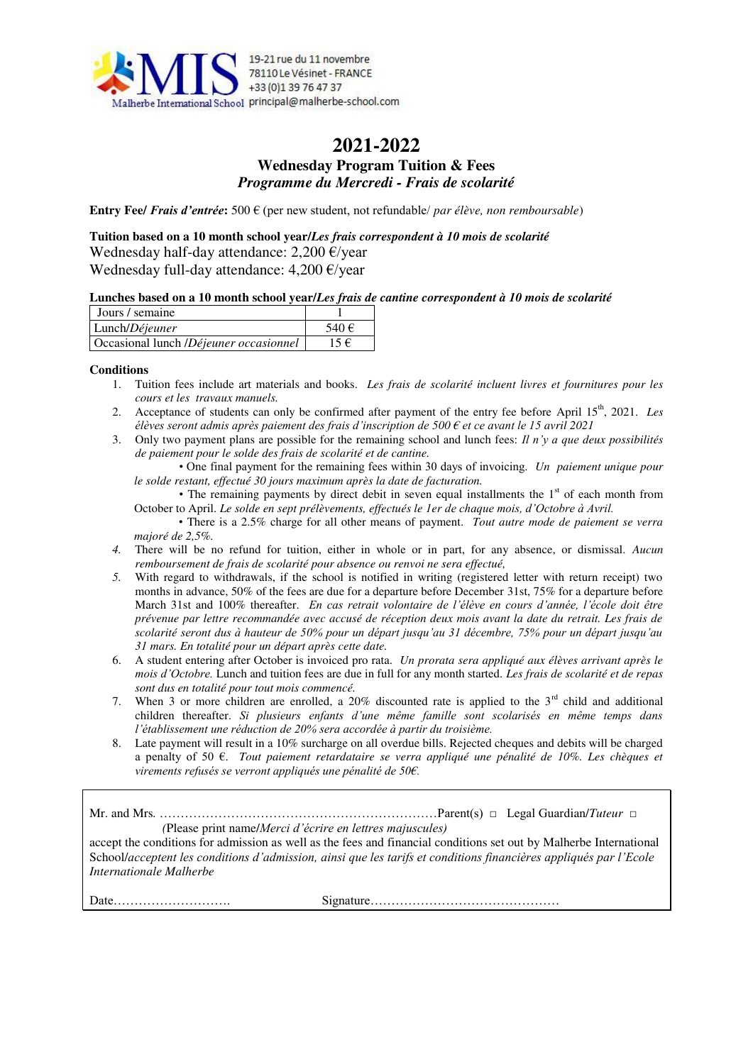

### **2021-2022 Wednesday Program Tuition & Fees**  *Programme du Mercredi - Frais de scolarité*

**Entry Fee/** *Frais d'entrée***:** 500 € (per new student, not refundable/ *par élève, non remboursable*)

**Tuition based on a 10 month school year/***Les frais correspondent à 10 mois de scolarité* Wednesday half-day attendance:  $2,200 \text{ E/year}$ Wednesday full-day attendance: 4,200 €/year

#### **Lunches based on a 10 month school year/***Les frais de cantine correspondent à 10 mois de scolarité*

| Jours / semaine                        |           |
|----------------------------------------|-----------|
| Lunch/Déjeuner                         | 540 $\in$ |
| Occasional lunch /Déjeuner occasionnel | 15 €      |

#### **Conditions**

- 1. Tuition fees include art materials and books. *Les frais de scolarité incluent livres et fournitures pour les cours et les travaux manuels.*
- 2. Acceptance of students can only be confirmed after payment of the entry fee before April 15<sup>th</sup>, 2021. *Les élèves seront admis après paiement des frais d'inscription de 500 € et ce avant le 15 avril 2021*
- 3. Only two payment plans are possible for the remaining school and lunch fees: *Il n'y a que deux possibilités de paiement pour le solde des frais de scolarité et de cantine.* 
	- One final payment for the remaining fees within 30 days of invoicing. *Un paiement unique pour le solde restant, effectué 30 jours maximum après la date de facturation.*
	- The remaining payments by direct debit in seven equal installments the  $1<sup>st</sup>$  of each month from October to April. *Le solde en sept prélèvements, effectués le 1er de chaque mois, d'Octobre à Avril.*
	- There is a 2.5% charge for all other means of payment. *Tout autre mode de paiement se verra majoré de 2,5%.*
- *4.* There will be no refund for tuition, either in whole or in part, for any absence, or dismissal. *Aucun remboursement de frais de scolarité pour absence ou renvoi ne sera effectué,*
- *5.* With regard to withdrawals, if the school is notified in writing (registered letter with return receipt) two months in advance, 50% of the fees are due for a departure before December 31st, 75% for a departure before March 31st and 100% thereafter. *En cas retrait volontaire de l'élève en cours d'année, l'école doit être prévenue par lettre recommandée avec accusé de réception deux mois avant la date du retrait. Les frais de scolarité seront dus à hauteur de 50% pour un départ jusqu'au 31 décembre, 75% pour un départ jusqu'au 31 mars. En totalité pour un départ après cette date.*
- 6. A student entering after October is invoiced pro rata. *Un prorata sera appliqué aux élèves arrivant après le mois d'Octobre.* Lunch and tuition fees are due in full for any month started. *Les frais de scolarité et de repas sont dus en totalité pour tout mois commencé.*
- 7. When 3 or more children are enrolled, a  $20\%$  discounted rate is applied to the  $3<sup>rd</sup>$  child and additional children thereafter. *Si plusieurs enfants d'une même famille sont scolarisés en même temps dans l'établissement une réduction de 20% sera accordée à partir du troisième.*
- 8. Late payment will result in a 10% surcharge on all overdue bills. Rejected cheques and debits will be charged a penalty of 50 €. *Tout paiement retardataire se verra appliqué une pénalité de 10%. Les chèques et virements refusés se verront appliqués une pénalité de 50€.*

Mr. and Mrs*.* …………………………………………………………Parent(s) □ Legal Guardian/*Tuteur* □ *(*Please print name/*Merci d'écrire en lettres majuscules)*

accept the conditions for admission as well as the fees and financial conditions set out by Malherbe International School/*acceptent les conditions d'admission, ainsi que les tarifs et conditions financières appliqués par l'Ecole Internationale Malherbe* 

Date………………………. Signature………………………………………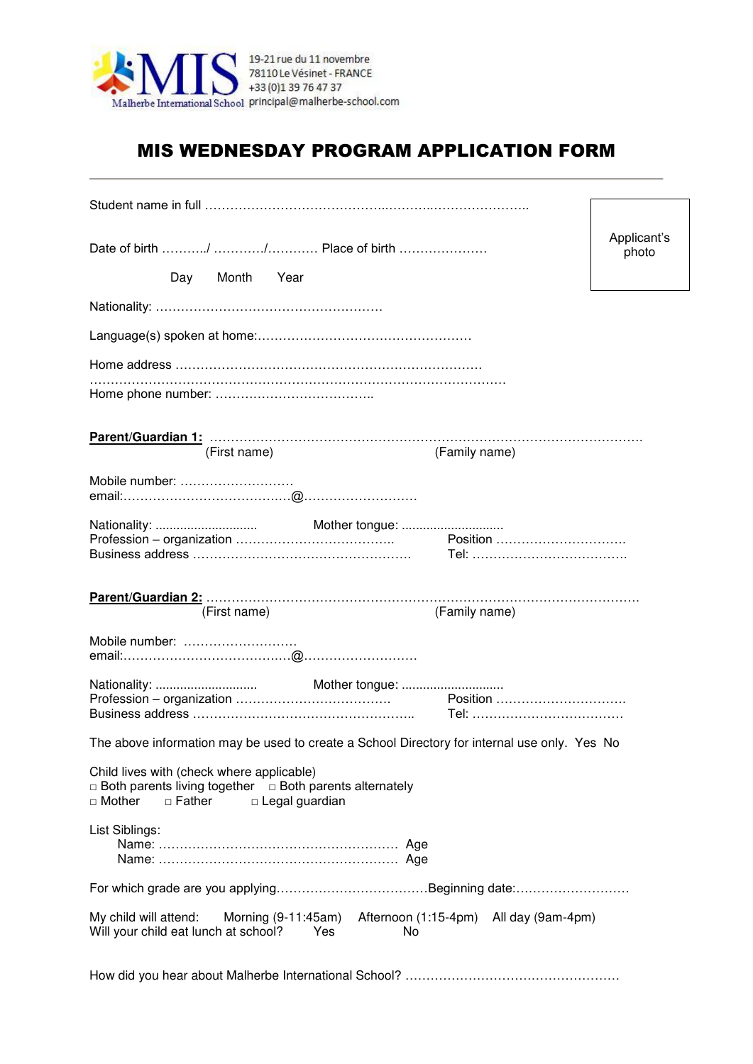

# MIS WEDNESDAY PROGRAM APPLICATION FORM

|                                                                                                                                                                   | Applicant's |
|-------------------------------------------------------------------------------------------------------------------------------------------------------------------|-------------|
|                                                                                                                                                                   | photo       |
| Day Month Year                                                                                                                                                    |             |
|                                                                                                                                                                   |             |
|                                                                                                                                                                   |             |
|                                                                                                                                                                   |             |
|                                                                                                                                                                   |             |
|                                                                                                                                                                   |             |
| (First name)<br>(Family name)                                                                                                                                     |             |
| Mobile number:                                                                                                                                                    |             |
|                                                                                                                                                                   |             |
|                                                                                                                                                                   |             |
|                                                                                                                                                                   |             |
| (Family name)<br>(First name)                                                                                                                                     |             |
| Mobile number:                                                                                                                                                    |             |
|                                                                                                                                                                   |             |
|                                                                                                                                                                   |             |
|                                                                                                                                                                   |             |
| The above information may be used to create a School Directory for internal use only. Yes No                                                                      |             |
| Child lives with (check where applicable)<br>$\Box$ Both parents living together $\Box$ Both parents alternately<br>$\Box$ Mother<br>□ Father<br>□ Legal guardian |             |
| List Siblings:                                                                                                                                                    |             |
|                                                                                                                                                                   |             |
| My child will attend:<br>Morning $(9-11:45am)$<br>Afternoon (1:15-4pm) All day (9am-4pm)<br>Will your child eat lunch at school?<br>Yes.<br>No                    |             |
|                                                                                                                                                                   |             |